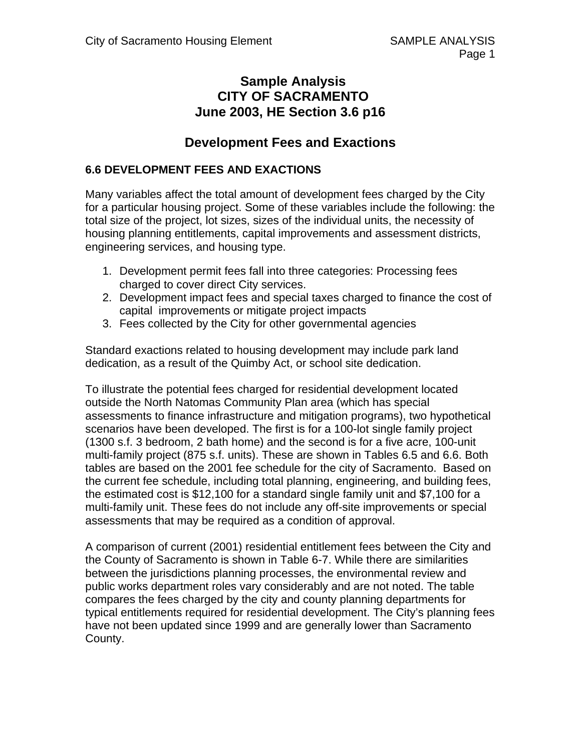# **Sample Analysis CITY OF SACRAMENTO June 2003, HE Section 3.6 p16**

# **Development Fees and Exactions**

# **6.6 DEVELOPMENT FEES AND EXACTIONS**

Many variables affect the total amount of development fees charged by the City for a particular housing project. Some of these variables include the following: the total size of the project, lot sizes, sizes of the individual units, the necessity of housing planning entitlements, capital improvements and assessment districts, engineering services, and housing type.

- 1. Development permit fees fall into three categories: Processing fees charged to cover direct City services.
- 2. Development impact fees and special taxes charged to finance the cost of capital improvements or mitigate project impacts
- 3. Fees collected by the City for other governmental agencies

Standard exactions related to housing development may include park land dedication, as a result of the Quimby Act, or school site dedication.

To illustrate the potential fees charged for residential development located outside the North Natomas Community Plan area (which has special assessments to finance infrastructure and mitigation programs), two hypothetical scenarios have been developed. The first is for a 100-lot single family project (1300 s.f. 3 bedroom, 2 bath home) and the second is for a five acre, 100-unit multi-family project (875 s.f. units). These are shown in Tables 6.5 and 6.6. Both tables are based on the 2001 fee schedule for the city of Sacramento. Based on the current fee schedule, including total planning, engineering, and building fees, the estimated cost is \$12,100 for a standard single family unit and \$7,100 for a multi-family unit. These fees do not include any off-site improvements or special assessments that may be required as a condition of approval.

A comparison of current (2001) residential entitlement fees between the City and the County of Sacramento is shown in Table 6-7. While there are similarities between the jurisdictions planning processes, the environmental review and public works department roles vary considerably and are not noted. The table compares the fees charged by the city and county planning departments for typical entitlements required for residential development. The City's planning fees have not been updated since 1999 and are generally lower than Sacramento County.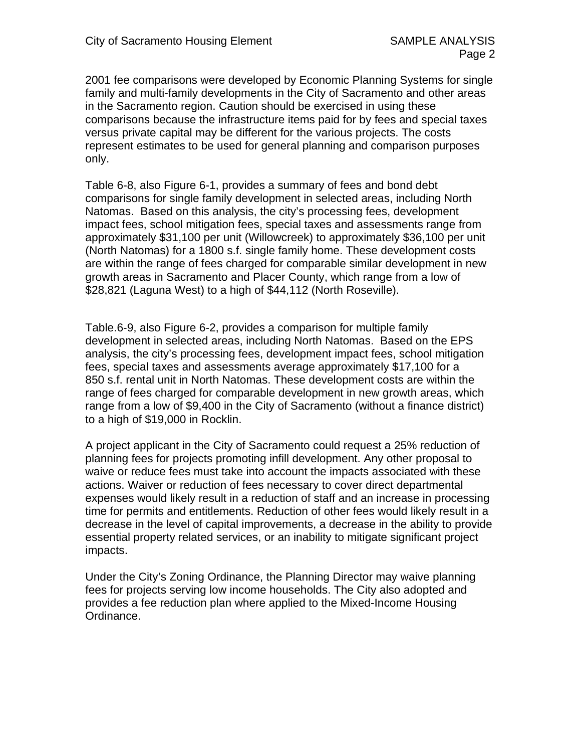2001 fee comparisons were developed by Economic Planning Systems for single family and multi-family developments in the City of Sacramento and other areas in the Sacramento region. Caution should be exercised in using these comparisons because the infrastructure items paid for by fees and special taxes versus private capital may be different for the various projects. The costs represent estimates to be used for general planning and comparison purposes only.

Table 6-8, also Figure 6-1, provides a summary of fees and bond debt comparisons for single family development in selected areas, including North Natomas. Based on this analysis, the city's processing fees, development impact fees, school mitigation fees, special taxes and assessments range from approximately \$31,100 per unit (Willowcreek) to approximately \$36,100 per unit (North Natomas) for a 1800 s.f. single family home. These development costs are within the range of fees charged for comparable similar development in new growth areas in Sacramento and Placer County, which range from a low of \$28,821 (Laguna West) to a high of \$44,112 (North Roseville).

Table.6-9, also Figure 6-2, provides a comparison for multiple family development in selected areas, including North Natomas. Based on the EPS analysis, the city's processing fees, development impact fees, school mitigation fees, special taxes and assessments average approximately \$17,100 for a 850 s.f. rental unit in North Natomas. These development costs are within the range of fees charged for comparable development in new growth areas, which range from a low of \$9,400 in the City of Sacramento (without a finance district) to a high of \$19,000 in Rocklin.

A project applicant in the City of Sacramento could request a 25% reduction of planning fees for projects promoting infill development. Any other proposal to waive or reduce fees must take into account the impacts associated with these actions. Waiver or reduction of fees necessary to cover direct departmental expenses would likely result in a reduction of staff and an increase in processing time for permits and entitlements. Reduction of other fees would likely result in a decrease in the level of capital improvements, a decrease in the ability to provide essential property related services, or an inability to mitigate significant project impacts.

Under the City's Zoning Ordinance, the Planning Director may waive planning fees for projects serving low income households. The City also adopted and provides a fee reduction plan where applied to the Mixed-Income Housing Ordinance.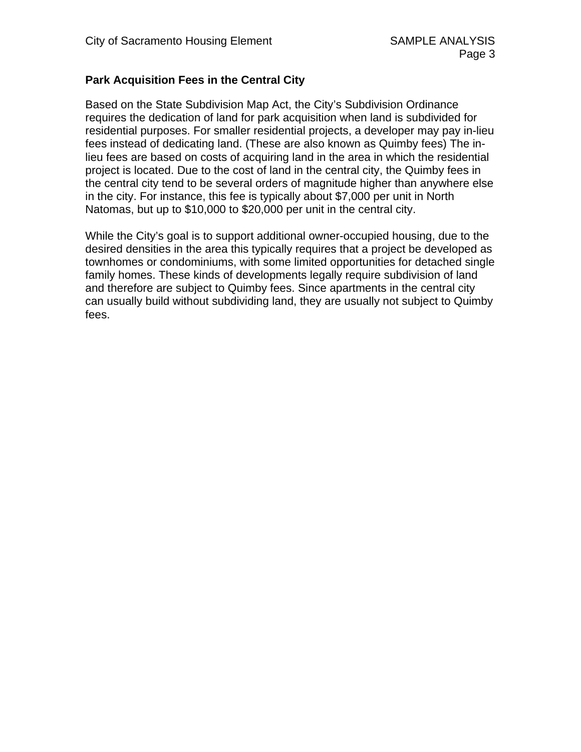# **Park Acquisition Fees in the Central City**

Based on the State Subdivision Map Act, the City's Subdivision Ordinance requires the dedication of land for park acquisition when land is subdivided for residential purposes. For smaller residential projects, a developer may pay in-lieu fees instead of dedicating land. (These are also known as Quimby fees) The inlieu fees are based on costs of acquiring land in the area in which the residential project is located. Due to the cost of land in the central city, the Quimby fees in the central city tend to be several orders of magnitude higher than anywhere else in the city. For instance, this fee is typically about \$7,000 per unit in North Natomas, but up to \$10,000 to \$20,000 per unit in the central city.

While the City's goal is to support additional owner-occupied housing, due to the desired densities in the area this typically requires that a project be developed as townhomes or condominiums, with some limited opportunities for detached single family homes. These kinds of developments legally require subdivision of land and therefore are subject to Quimby fees. Since apartments in the central city can usually build without subdividing land, they are usually not subject to Quimby fees.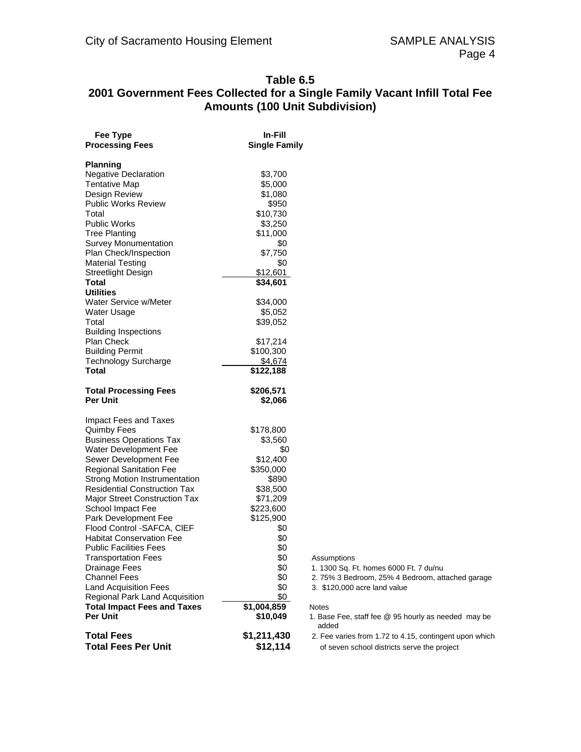### **Table 6.5 2001 Government Fees Collected for a Single Family Vacant Infill Total Fee Amounts (100 Unit Subdivision)**

| Fee Type<br><b>Processing Fees</b>                  | In-Fill<br><b>Single Family</b> |
|-----------------------------------------------------|---------------------------------|
|                                                     |                                 |
| <b>Planning</b>                                     |                                 |
| <b>Negative Declaration</b><br><b>Tentative Map</b> | \$3,700                         |
| Design Review                                       | \$5,000<br>\$1,080              |
| <b>Public Works Review</b>                          | \$950                           |
| Total                                               | \$10,730                        |
| <b>Public Works</b>                                 | \$3,250                         |
| <b>Tree Planting</b>                                | \$11,000                        |
| <b>Survey Monumentation</b>                         | \$0                             |
| Plan Check/Inspection                               | \$7,750                         |
| <b>Material Testing</b>                             | \$0                             |
| <b>Streetlight Design</b>                           | \$12,601                        |
| Total                                               | \$34,601                        |
| <b>Utilities</b>                                    |                                 |
| Water Service w/Meter                               | \$34,000                        |
| Water Usage                                         | \$5,052                         |
| Total                                               | \$39,052                        |
| <b>Building Inspections</b>                         |                                 |
| <b>Plan Check</b>                                   | \$17,214                        |
| <b>Building Permit</b>                              | \$100,300                       |
| <b>Technology Surcharge</b>                         | \$4,674                         |
| Total                                               | \$122,188                       |
| <b>Total Processing Fees</b>                        | \$206,571                       |
| Per Unit                                            | \$2,066                         |
| Impact Fees and Taxes                               |                                 |
| <b>Quimby Fees</b>                                  | \$178,800                       |
| <b>Business Operations Tax</b>                      | \$3,560                         |
| Water Development Fee                               | \$0                             |
| Sewer Development Fee                               | \$12,400                        |
| <b>Regional Sanitation Fee</b>                      | \$350,000                       |
| <b>Strong Motion Instrumentation</b>                | \$890                           |
| <b>Residential Construction Tax</b>                 | \$38,500                        |
| <b>Major Street Construction Tax</b>                | \$71,209                        |
| School Impact Fee                                   | \$223,600                       |
| Park Development Fee<br>Flood Control -SAFCA, CIEF  | \$125,900                       |
| <b>Habitat Conservation Fee</b>                     | \$0<br>\$0                      |
| <b>Public Facilities Fees</b>                       | \$0                             |
| I ransportation Fees                                | \$Ο                             |
| <b>Drainage Fees</b>                                | \$0                             |
| <b>Channel Fees</b>                                 | \$0                             |
| <b>Land Acquisition Fees</b>                        | \$0                             |
| Regional Park Land Acquisition                      | \$0                             |
| <b>Total Impact Fees and Taxes</b>                  | \$1,004,859                     |
| <b>Per Unit</b>                                     | \$10,049                        |
| Total Fees                                          | \$1,211,430                     |
| <b>Total Fees Per Unit</b>                          | \$12,114                        |

- Assumptions
- 1. 1300 Sq. Ft. homes 6000 Ft. 7 du/nu
- 2. 75% 3 Bedroom, 25% 4 Bedroom, attached garage
- 3. \$120,000 acre land value

#### Notes

- 1. Base Fee, staff fee @ 95 hourly as needed may be added
- 2. Fee varies from 1.72 to 4.15, contingent upon which of seven school districts serve the project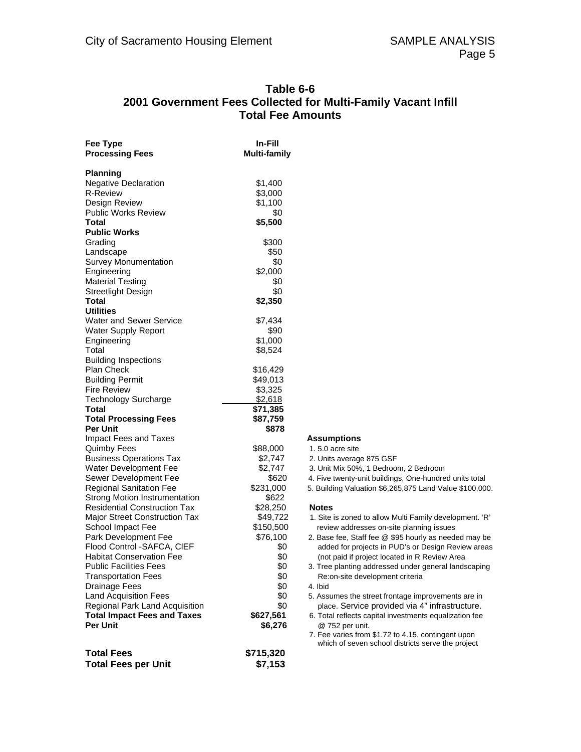#### **Table 6-6 2001 Government Fees Collected for Multi-Family Vacant Infill Total Fee Amounts**

| Fee Type<br><b>Processing Fees</b>   | In-Fill<br><b>Multi-family</b> |
|--------------------------------------|--------------------------------|
| <b>Planning</b>                      |                                |
| <b>Negative Declaration</b>          | \$1,400                        |
| <b>R-Review</b>                      | \$3,000                        |
| Design Review                        | \$1,100                        |
| <b>Public Works Review</b>           | \$0                            |
| Total                                | \$5,500                        |
| <b>Public Works</b>                  |                                |
| Grading                              | \$300                          |
| Landscape                            | \$50                           |
| <b>Survey Monumentation</b>          | \$0                            |
| Engineering                          | \$2,000                        |
| <b>Material Testing</b>              | \$0                            |
|                                      |                                |
| <b>Streetlight Design</b>            | \$0                            |
| Total                                | \$2,350                        |
| <b>Utilities</b>                     |                                |
| <b>Water and Sewer Service</b>       | \$7,434                        |
| <b>Water Supply Report</b>           | \$90                           |
| Engineering                          | \$1,000                        |
| Total                                | \$8,524                        |
| <b>Building Inspections</b>          |                                |
| <b>Plan Check</b>                    | \$16,429                       |
| <b>Building Permit</b>               | \$49,013                       |
| <b>Fire Review</b>                   | \$3,325                        |
| <b>Technology Surcharge</b>          | \$2,618                        |
| Total                                | \$71,385                       |
| <b>Total Processing Fees</b>         | \$87,759                       |
| <b>Per Unit</b>                      | \$878                          |
| Impact Fees and Taxes                |                                |
| <b>Quimby Fees</b>                   | \$88,000                       |
| <b>Business Operations Tax</b>       | \$2,747                        |
| Water Development Fee                | \$2,747                        |
| Sewer Development Fee                | \$620                          |
| <b>Regional Sanitation Fee</b>       | \$231,000                      |
| <b>Strong Motion Instrumentation</b> | \$622                          |
| <b>Residential Construction Tax</b>  | \$28,250                       |
| Major Street Construction Tax        | \$49,722                       |
| School Impact Fee                    | \$150,500                      |
| Park Development Fee                 | \$76,100                       |
| Flood Control -SAFCA, CIEF           | \$0                            |
| <b>Habitat Conservation Fee</b>      |                                |
|                                      | \$0                            |
| <b>Public Facilities Fees</b>        | \$0                            |
| <b>Transportation Fees</b>           | \$0                            |
| <b>Drainage Fees</b>                 | \$0                            |
| <b>Land Acquisition Fees</b>         | \$0                            |
| Regional Park Land Acquisition       | \$0                            |
| <b>Total Impact Fees and Taxes</b>   | \$627,561                      |
| <b>Per Unit</b>                      | \$6,276                        |
| <b>Total Fees</b>                    | \$715,320                      |
| <b>Total Fees per Unit</b>           | \$7,153                        |

#### **Assumptions**

#### 1. 5.0 acre site

- 2. Units average 875 GSF
- 3. Unit Mix 50%, 1 Bedroom, 2 Bedroom
- 4. Five twenty-unit buildings, One-hundred units total
- 5. Building Valuation \$6,265,875 Land Value \$100,000.

#### **Notes**

- 1. Site is zoned to allow Multi Family development. 'R' review addresses on-site planning issues
- 2. Base fee, Staff fee @ \$95 hourly as needed may be added for projects in PUD's or Design Review areas (not paid if project located in R Review Area
- 3. Tree planting addressed under general landscaping Re:on-site development criteria
- 4. Ibid
- 5. Assumes the street frontage improvements are in place. Service provided via 4" infrastructure.
- 6. Total reflects capital investments equalization fee @ 752 per unit.
- 7. Fee varies from \$1.72 to 4.15, contingent upon which of seven school districts serve the project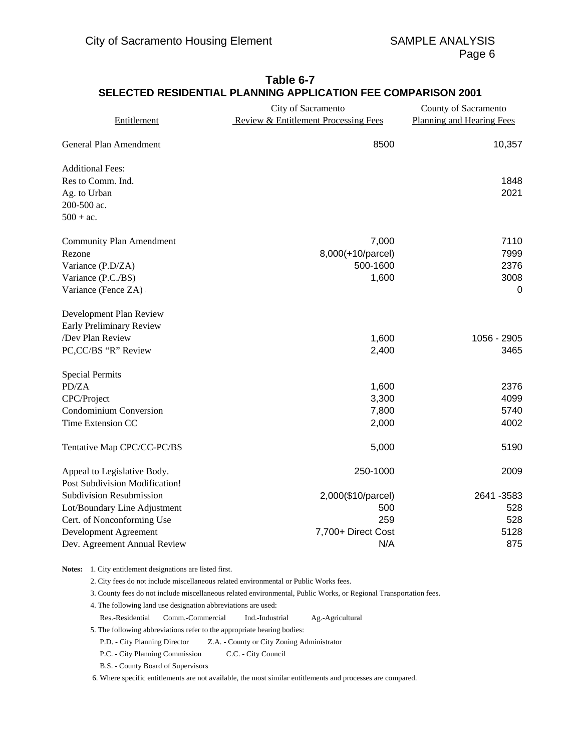| Entitlement                     | City of Sacramento<br><b>Review &amp; Entitlement Processing Fees</b> | County of Sacramento<br><b>Planning and Hearing Fees</b> |  |
|---------------------------------|-----------------------------------------------------------------------|----------------------------------------------------------|--|
| General Plan Amendment          | 8500                                                                  | 10,357                                                   |  |
| <b>Additional Fees:</b>         |                                                                       |                                                          |  |
| Res to Comm. Ind.               |                                                                       | 1848                                                     |  |
| Ag. to Urban                    |                                                                       | 2021                                                     |  |
| 200-500 ac.                     |                                                                       |                                                          |  |
| $500 + ac$ .                    |                                                                       |                                                          |  |
| <b>Community Plan Amendment</b> | 7,000                                                                 | 7110                                                     |  |
| Rezone                          | 8,000(+10/parcel)                                                     | 7999                                                     |  |
| Variance (P.D/ZA)               | 500-1600                                                              | 2376                                                     |  |
| Variance (P.C./BS)              | 1,600                                                                 | 3008                                                     |  |
| Variance (Fence ZA).            |                                                                       | $\mathbf 0$                                              |  |
| Development Plan Review         |                                                                       |                                                          |  |
| Early Preliminary Review        |                                                                       |                                                          |  |
| /Dev Plan Review                | 1,600                                                                 | 1056 - 2905                                              |  |
| PC,CC/BS "R" Review             | 2,400                                                                 | 3465                                                     |  |
| <b>Special Permits</b>          |                                                                       |                                                          |  |
| PD/ZA                           | 1,600                                                                 | 2376                                                     |  |
| CPC/Project                     | 3,300                                                                 | 4099                                                     |  |
| <b>Condominium Conversion</b>   | 7,800                                                                 | 5740                                                     |  |
| Time Extension CC               | 2,000                                                                 | 4002                                                     |  |
| Tentative Map CPC/CC-PC/BS      | 5,000                                                                 | 5190                                                     |  |
| Appeal to Legislative Body.     | 250-1000                                                              | 2009                                                     |  |
| Post Subdivision Modification!  |                                                                       |                                                          |  |
| <b>Subdivision Resubmission</b> | 2,000(\$10/parcel)                                                    | 2641 - 3583                                              |  |
| Lot/Boundary Line Adjustment    | 500                                                                   | 528                                                      |  |
| Cert. of Nonconforming Use      | 259                                                                   | 528                                                      |  |
| Development Agreement           | 7,700+ Direct Cost                                                    | 5128                                                     |  |
| Dev. Agreement Annual Review    | N/A                                                                   | 875                                                      |  |

## **Table 6-7 SELECTED RESIDENTIAL PLANNING APPLICATION FEE COMPARISON 2001**

**Notes:** 1. City entitlement designations are listed first.

2. City fees do not include miscellaneous related environmental or Public Works fees.

3. County fees do not include miscellaneous related environmental, Public Works, or Regional Transportation fees.

4. The following land use designation abbreviations are used:

Res.-Residential Comm.-Commercial Ind.-Industrial Ag.-Agricultural

5. The following abbreviations refer to the appropriate hearing bodies:

P.D. - City Planning Director Z.A. - County or City Zoning Administrator

P.C. - City Planning Commission C.C. - City Council

B.S. - County Board of Supervisors

6. Where specific entitlements are not available, the most similar entitlements and processes are compared.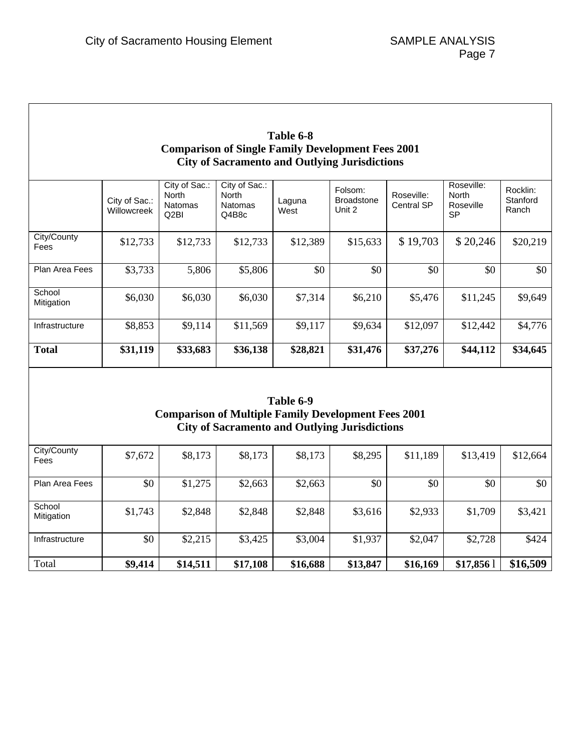$\overline{\phantom{a}}$ 

| Table 6-8<br><b>Comparison of Single Family Development Fees 2001</b><br><b>City of Sacramento and Outlying Jurisdictions</b> |                              |                                                         |                                                   |                |                                        |                                 |                                                      |                               |
|-------------------------------------------------------------------------------------------------------------------------------|------------------------------|---------------------------------------------------------|---------------------------------------------------|----------------|----------------------------------------|---------------------------------|------------------------------------------------------|-------------------------------|
|                                                                                                                               | City of Sac.:<br>Willowcreek | City of Sac.:<br><b>North</b><br><b>Natomas</b><br>Q2BI | City of Sac.:<br>North<br><b>Natomas</b><br>Q4B8c | Laguna<br>West | Folsom:<br><b>Broadstone</b><br>Unit 2 | Roseville:<br><b>Central SP</b> | Roseville:<br><b>North</b><br>Roseville<br><b>SP</b> | Rocklin:<br>Stanford<br>Ranch |
| City/County<br>Fees                                                                                                           | \$12,733                     | \$12,733                                                | \$12,733                                          | \$12,389       | \$15,633                               | \$19,703                        | \$20,246                                             | \$20,219                      |
| Plan Area Fees                                                                                                                | \$3,733                      | 5,806                                                   | \$5,806                                           | \$0            | \$0                                    | \$0                             | \$0                                                  | \$0                           |
| School<br>Mitigation                                                                                                          | \$6,030                      | \$6,030                                                 | \$6,030                                           | \$7,314        | \$6,210                                | \$5,476                         | \$11,245                                             | \$9,649                       |
| Infrastructure                                                                                                                | \$8,853                      | \$9,114                                                 | \$11,569                                          | \$9,117        | \$9,634                                | \$12,097                        | \$12,442                                             | \$4,776                       |
| <b>Total</b>                                                                                                                  | \$31,119                     | \$33,683                                                | \$36,138                                          | \$28,821       | \$31,476                               | \$37,276                        | \$44,112                                             | \$34,645                      |

### **Table 6-9 Comparison of Multiple Family Development Fees 2001 City of Sacramento and Outlying Jurisdictions**

| City/County<br>Fees   | \$7,672 | \$8,173  | \$8,173  | \$8,173  | \$8,295  | \$11,189 | \$13,419 | \$12,664 |
|-----------------------|---------|----------|----------|----------|----------|----------|----------|----------|
| <b>Plan Area Fees</b> | \$0     | \$1,275  | \$2,663  | \$2,663  | \$0      | \$0      | \$0      | \$0      |
| School<br>Mitigation  | \$1,743 | \$2,848  | \$2,848  | \$2,848  | \$3,616  | \$2,933  | \$1,709  | \$3,421  |
| Infrastructure        | \$0     | \$2,215  | \$3,425  | \$3,004  | \$1,937  | \$2,047  | \$2,728  | \$424    |
| Total                 | \$9,414 | \$14,511 | \$17,108 | \$16,688 | \$13,847 | \$16,169 | \$17,856 | \$16,509 |